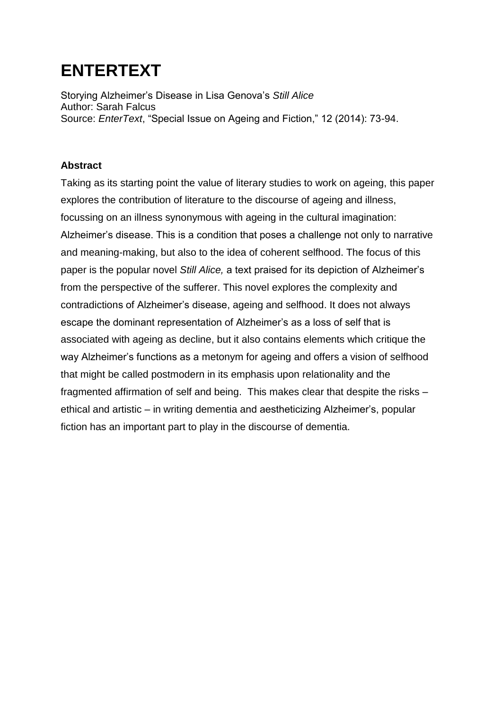## **ENTERTEXT**

Storying Alzheimer's Disease in Lisa Genova's *Still Alice* Author: Sarah Falcus Source: *EnterText*, "Special Issue on Ageing and Fiction," 12 (2014): 73-94.

## **Abstract**

Taking as its starting point the value of literary studies to work on ageing, this paper explores the contribution of literature to the discourse of ageing and illness, focussing on an illness synonymous with ageing in the cultural imagination: Alzheimer's disease. This is a condition that poses a challenge not only to narrative and meaning-making, but also to the idea of coherent selfhood. The focus of this paper is the popular novel *Still Alice,* a text praised for its depiction of Alzheimer's from the perspective of the sufferer. This novel explores the complexity and contradictions of Alzheimer's disease, ageing and selfhood. It does not always escape the dominant representation of Alzheimer's as a loss of self that is associated with ageing as decline, but it also contains elements which critique the way Alzheimer's functions as a metonym for ageing and offers a vision of selfhood that might be called postmodern in its emphasis upon relationality and the fragmented affirmation of self and being. This makes clear that despite the risks – ethical and artistic – in writing dementia and aestheticizing Alzheimer's, popular fiction has an important part to play in the discourse of dementia.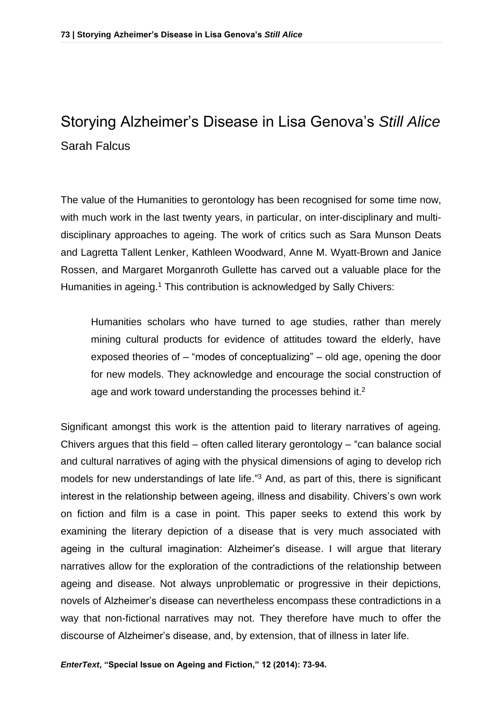## Storying Alzheimer's Disease in Lisa Genova's *Still Alice* Sarah Falcus

The value of the Humanities to gerontology has been recognised for some time now, with much work in the last twenty years, in particular, on inter-disciplinary and multidisciplinary approaches to ageing. The work of critics such as Sara Munson Deats and Lagretta Tallent Lenker, Kathleen Woodward, Anne M. Wyatt-Brown and Janice Rossen, and Margaret Morganroth Gullette has carved out a valuable place for the Humanities in ageing.<sup>1</sup> This contribution is acknowledged by Sally Chivers:

Humanities scholars who have turned to age studies, rather than merely mining cultural products for evidence of attitudes toward the elderly, have exposed theories of – "modes of conceptualizing" – old age, opening the door for new models. They acknowledge and encourage the social construction of age and work toward understanding the processes behind it.<sup>2</sup>

Significant amongst this work is the attention paid to literary narratives of ageing. Chivers argues that this field – often called literary gerontology – "can balance social and cultural narratives of aging with the physical dimensions of aging to develop rich models for new understandings of late life."<sup>3</sup> And, as part of this, there is significant interest in the relationship between ageing, illness and disability. Chivers's own work on fiction and film is a case in point. This paper seeks to extend this work by examining the literary depiction of a disease that is very much associated with ageing in the cultural imagination: Alzheimer's disease. I will argue that literary narratives allow for the exploration of the contradictions of the relationship between ageing and disease. Not always unproblematic or progressive in their depictions, novels of Alzheimer's disease can nevertheless encompass these contradictions in a way that non-fictional narratives may not. They therefore have much to offer the discourse of Alzheimer's disease, and, by extension, that of illness in later life.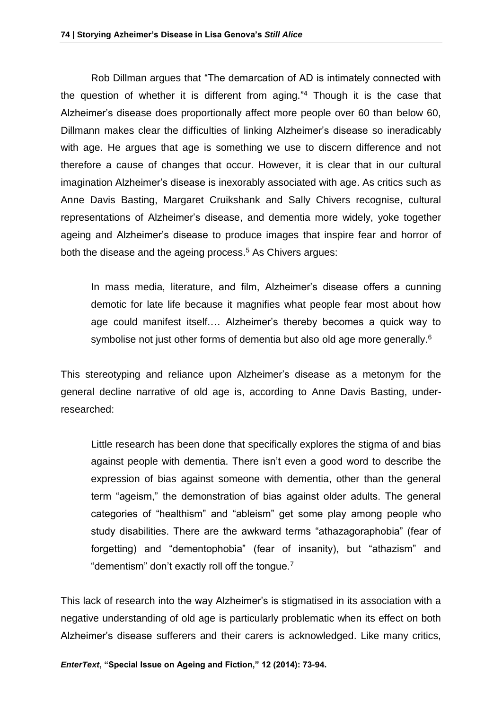Rob Dillman argues that "The demarcation of AD is intimately connected with the question of whether it is different from aging." <sup>4</sup> Though it is the case that Alzheimer's disease does proportionally affect more people over 60 than below 60, Dillmann makes clear the difficulties of linking Alzheimer's disease so ineradicably with age. He argues that age is something we use to discern difference and not therefore a cause of changes that occur. However, it is clear that in our cultural imagination Alzheimer's disease is inexorably associated with age. As critics such as Anne Davis Basting, Margaret Cruikshank and Sally Chivers recognise, cultural representations of Alzheimer's disease, and dementia more widely, yoke together ageing and Alzheimer's disease to produce images that inspire fear and horror of both the disease and the ageing process. <sup>5</sup> As Chivers argues:

In mass media, literature, and film, Alzheimer's disease offers a cunning demotic for late life because it magnifies what people fear most about how age could manifest itself.… Alzheimer's thereby becomes a quick way to symbolise not just other forms of dementia but also old age more generally.<sup>6</sup>

This stereotyping and reliance upon Alzheimer's disease as a metonym for the general decline narrative of old age is, according to Anne Davis Basting, underresearched:

Little research has been done that specifically explores the stigma of and bias against people with dementia. There isn't even a good word to describe the expression of bias against someone with dementia, other than the general term "ageism," the demonstration of bias against older adults. The general categories of "healthism" and "ableism" get some play among people who study disabilities. There are the awkward terms "athazagoraphobia" (fear of forgetting) and "dementophobia" (fear of insanity), but "athazism" and "dementism" don't exactly roll off the tongue.<sup>7</sup>

This lack of research into the way Alzheimer's is stigmatised in its association with a negative understanding of old age is particularly problematic when its effect on both Alzheimer's disease sufferers and their carers is acknowledged. Like many critics,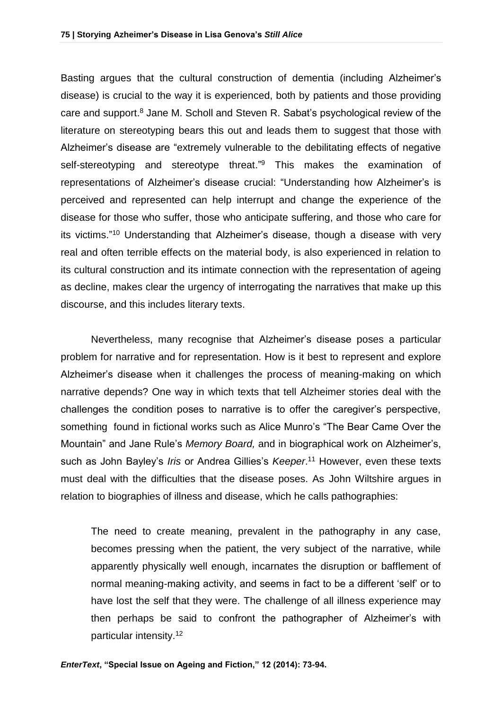Basting argues that the cultural construction of dementia (including Alzheimer's disease) is crucial to the way it is experienced, both by patients and those providing care and support.<sup>8</sup> Jane M. Scholl and Steven R. Sabat's psychological review of the literature on stereotyping bears this out and leads them to suggest that those with Alzheimer's disease are "extremely vulnerable to the debilitating effects of negative self-stereotyping and stereotype threat."<sup>9</sup> This makes the examination of representations of Alzheimer's disease crucial: "Understanding how Alzheimer's is perceived and represented can help interrupt and change the experience of the disease for those who suffer, those who anticipate suffering, and those who care for its victims." <sup>10</sup> Understanding that Alzheimer's disease, though a disease with very real and often terrible effects on the material body, is also experienced in relation to its cultural construction and its intimate connection with the representation of ageing as decline, makes clear the urgency of interrogating the narratives that make up this discourse, and this includes literary texts.

Nevertheless, many recognise that Alzheimer's disease poses a particular problem for narrative and for representation. How is it best to represent and explore Alzheimer's disease when it challenges the process of meaning-making on which narrative depends? One way in which texts that tell Alzheimer stories deal with the challenges the condition poses to narrative is to offer the caregiver's perspective, something found in fictional works such as Alice Munro's "The Bear Came Over the Mountain" and Jane Rule's *Memory Board,* and in biographical work on Alzheimer's, such as John Bayley's *Iris* or Andrea Gillies's *Keeper*. <sup>11</sup> However, even these texts must deal with the difficulties that the disease poses. As John Wiltshire argues in relation to biographies of illness and disease, which he calls pathographies:

The need to create meaning, prevalent in the pathography in any case, becomes pressing when the patient, the very subject of the narrative, while apparently physically well enough, incarnates the disruption or bafflement of normal meaning-making activity, and seems in fact to be a different 'self' or to have lost the self that they were. The challenge of all illness experience may then perhaps be said to confront the pathographer of Alzheimer's with particular intensity.12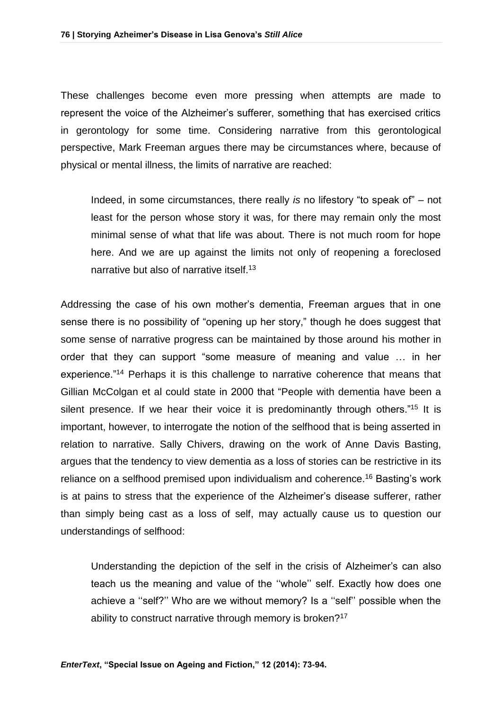These challenges become even more pressing when attempts are made to represent the voice of the Alzheimer's sufferer, something that has exercised critics in gerontology for some time. Considering narrative from this gerontological perspective, Mark Freeman argues there may be circumstances where, because of physical or mental illness, the limits of narrative are reached:

Indeed, in some circumstances, there really *is* no lifestory "to speak of" – not least for the person whose story it was, for there may remain only the most minimal sense of what that life was about. There is not much room for hope here. And we are up against the limits not only of reopening a foreclosed narrative but also of narrative itself.<sup>13</sup>

Addressing the case of his own mother's dementia, Freeman argues that in one sense there is no possibility of "opening up her story," though he does suggest that some sense of narrative progress can be maintained by those around his mother in order that they can support "some measure of meaning and value … in her experience."<sup>14</sup> Perhaps it is this challenge to narrative coherence that means that Gillian McColgan et al could state in 2000 that "People with dementia have been a silent presence. If we hear their voice it is predominantly through others."<sup>15</sup> It is important, however, to interrogate the notion of the selfhood that is being asserted in relation to narrative. Sally Chivers, drawing on the work of Anne Davis Basting, argues that the tendency to view dementia as a loss of stories can be restrictive in its reliance on a selfhood premised upon individualism and coherence.<sup>16</sup> Basting's work is at pains to stress that the experience of the Alzheimer's disease sufferer, rather than simply being cast as a loss of self, may actually cause us to question our understandings of selfhood:

Understanding the depiction of the self in the crisis of Alzheimer's can also teach us the meaning and value of the ''whole'' self. Exactly how does one achieve a ''self?'' Who are we without memory? Is a ''self'' possible when the ability to construct narrative through memory is broken?<sup>17</sup>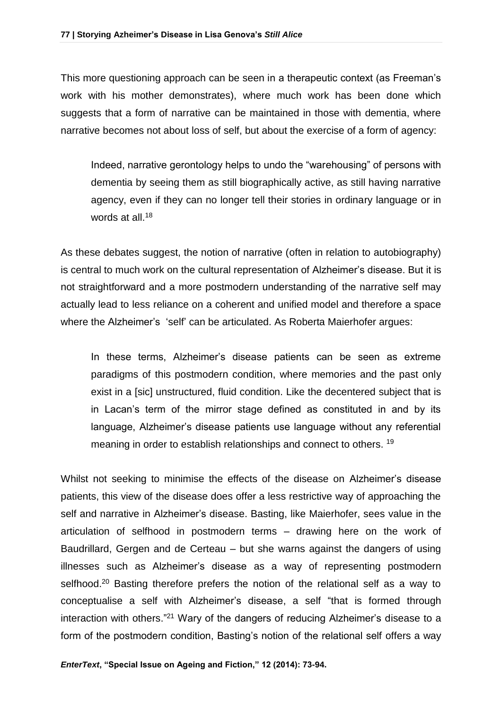This more questioning approach can be seen in a therapeutic context (as Freeman's work with his mother demonstrates), where much work has been done which suggests that a form of narrative can be maintained in those with dementia, where narrative becomes not about loss of self, but about the exercise of a form of agency:

Indeed, narrative gerontology helps to undo the "warehousing" of persons with dementia by seeing them as still biographically active, as still having narrative agency, even if they can no longer tell their stories in ordinary language or in words at all.<sup>18</sup>

As these debates suggest, the notion of narrative (often in relation to autobiography) is central to much work on the cultural representation of Alzheimer's disease. But it is not straightforward and a more postmodern understanding of the narrative self may actually lead to less reliance on a coherent and unified model and therefore a space where the Alzheimer's 'self' can be articulated. As Roberta Maierhofer argues:

In these terms, Alzheimer's disease patients can be seen as extreme paradigms of this postmodern condition, where memories and the past only exist in a [sic] unstructured, fluid condition. Like the decentered subject that is in Lacan's term of the mirror stage defined as constituted in and by its language, Alzheimer's disease patients use language without any referential meaning in order to establish relationships and connect to others. <sup>19</sup>

Whilst not seeking to minimise the effects of the disease on Alzheimer's disease patients, this view of the disease does offer a less restrictive way of approaching the self and narrative in Alzheimer's disease. Basting, like Maierhofer, sees value in the articulation of selfhood in postmodern terms – drawing here on the work of Baudrillard, Gergen and de Certeau – but she warns against the dangers of using illnesses such as Alzheimer's disease as a way of representing postmodern selfhood.<sup>20</sup> Basting therefore prefers the notion of the relational self as a way to conceptualise a self with Alzheimer's disease, a self "that is formed through interaction with others."<sup>21</sup> Wary of the dangers of reducing Alzheimer's disease to a form of the postmodern condition, Basting's notion of the relational self offers a way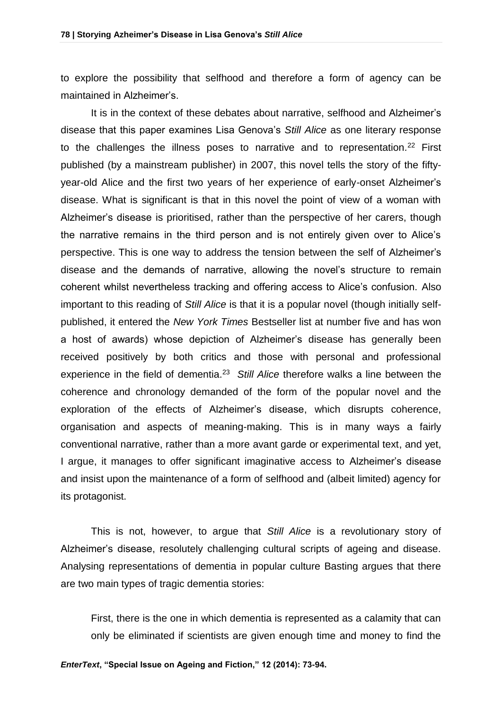to explore the possibility that selfhood and therefore a form of agency can be maintained in Alzheimer's.

It is in the context of these debates about narrative, selfhood and Alzheimer's disease that this paper examines Lisa Genova's *Still Alice* as one literary response to the challenges the illness poses to narrative and to representation*.* <sup>22</sup> First published (by a mainstream publisher) in 2007, this novel tells the story of the fiftyyear-old Alice and the first two years of her experience of early-onset Alzheimer's disease. What is significant is that in this novel the point of view of a woman with Alzheimer's disease is prioritised, rather than the perspective of her carers, though the narrative remains in the third person and is not entirely given over to Alice's perspective. This is one way to address the tension between the self of Alzheimer's disease and the demands of narrative, allowing the novel's structure to remain coherent whilst nevertheless tracking and offering access to Alice's confusion. Also important to this reading of *Still Alice* is that it is a popular novel (though initially selfpublished, it entered the *New York Times* Bestseller list at number five and has won a host of awards) whose depiction of Alzheimer's disease has generally been received positively by both critics and those with personal and professional experience in the field of dementia.<sup>23</sup> *Still Alice* therefore walks a line between the coherence and chronology demanded of the form of the popular novel and the exploration of the effects of Alzheimer's disease, which disrupts coherence, organisation and aspects of meaning-making. This is in many ways a fairly conventional narrative, rather than a more avant garde or experimental text, and yet, I argue, it manages to offer significant imaginative access to Alzheimer's disease and insist upon the maintenance of a form of selfhood and (albeit limited) agency for its protagonist.

This is not, however, to argue that *Still Alice* is a revolutionary story of Alzheimer's disease, resolutely challenging cultural scripts of ageing and disease. Analysing representations of dementia in popular culture Basting argues that there are two main types of tragic dementia stories:

First, there is the one in which dementia is represented as a calamity that can only be eliminated if scientists are given enough time and money to find the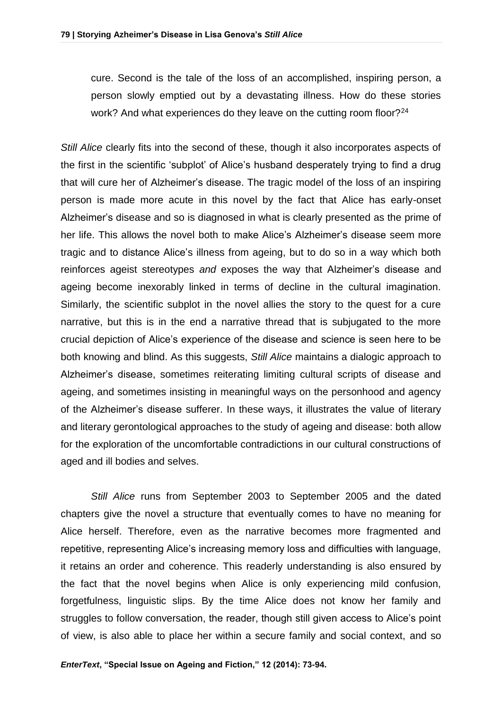cure. Second is the tale of the loss of an accomplished, inspiring person, a person slowly emptied out by a devastating illness. How do these stories work? And what experiences do they leave on the cutting room floor?<sup>24</sup>

*Still Alice* clearly fits into the second of these, though it also incorporates aspects of the first in the scientific 'subplot' of Alice's husband desperately trying to find a drug that will cure her of Alzheimer's disease. The tragic model of the loss of an inspiring person is made more acute in this novel by the fact that Alice has early-onset Alzheimer's disease and so is diagnosed in what is clearly presented as the prime of her life. This allows the novel both to make Alice's Alzheimer's disease seem more tragic and to distance Alice's illness from ageing, but to do so in a way which both reinforces ageist stereotypes *and* exposes the way that Alzheimer's disease and ageing become inexorably linked in terms of decline in the cultural imagination. Similarly, the scientific subplot in the novel allies the story to the quest for a cure narrative, but this is in the end a narrative thread that is subjugated to the more crucial depiction of Alice's experience of the disease and science is seen here to be both knowing and blind. As this suggests, *Still Alice* maintains a dialogic approach to Alzheimer's disease, sometimes reiterating limiting cultural scripts of disease and ageing, and sometimes insisting in meaningful ways on the personhood and agency of the Alzheimer's disease sufferer. In these ways, it illustrates the value of literary and literary gerontological approaches to the study of ageing and disease: both allow for the exploration of the uncomfortable contradictions in our cultural constructions of aged and ill bodies and selves.

*Still Alice* runs from September 2003 to September 2005 and the dated chapters give the novel a structure that eventually comes to have no meaning for Alice herself. Therefore, even as the narrative becomes more fragmented and repetitive, representing Alice's increasing memory loss and difficulties with language, it retains an order and coherence. This readerly understanding is also ensured by the fact that the novel begins when Alice is only experiencing mild confusion, forgetfulness, linguistic slips. By the time Alice does not know her family and struggles to follow conversation, the reader, though still given access to Alice's point of view, is also able to place her within a secure family and social context, and so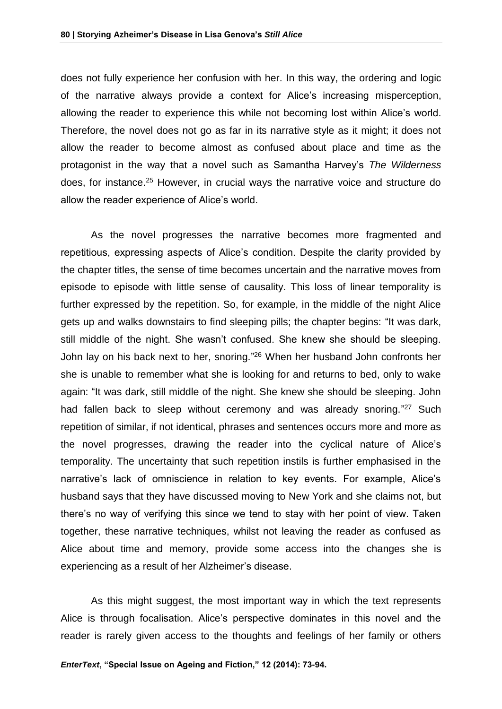does not fully experience her confusion with her. In this way, the ordering and logic of the narrative always provide a context for Alice's increasing misperception, allowing the reader to experience this while not becoming lost within Alice's world. Therefore, the novel does not go as far in its narrative style as it might; it does not allow the reader to become almost as confused about place and time as the protagonist in the way that a novel such as Samantha Harvey's *The Wilderness* does, for instance.<sup>25</sup> However, in crucial ways the narrative voice and structure do allow the reader experience of Alice's world.

As the novel progresses the narrative becomes more fragmented and repetitious, expressing aspects of Alice's condition. Despite the clarity provided by the chapter titles, the sense of time becomes uncertain and the narrative moves from episode to episode with little sense of causality. This loss of linear temporality is further expressed by the repetition. So, for example, in the middle of the night Alice gets up and walks downstairs to find sleeping pills; the chapter begins: "It was dark, still middle of the night. She wasn't confused. She knew she should be sleeping. John lay on his back next to her, snoring." <sup>26</sup> When her husband John confronts her she is unable to remember what she is looking for and returns to bed, only to wake again: "It was dark, still middle of the night. She knew she should be sleeping. John had fallen back to sleep without ceremony and was already snoring."<sup>27</sup> Such repetition of similar, if not identical, phrases and sentences occurs more and more as the novel progresses, drawing the reader into the cyclical nature of Alice's temporality. The uncertainty that such repetition instils is further emphasised in the narrative's lack of omniscience in relation to key events. For example, Alice's husband says that they have discussed moving to New York and she claims not, but there's no way of verifying this since we tend to stay with her point of view. Taken together, these narrative techniques, whilst not leaving the reader as confused as Alice about time and memory, provide some access into the changes she is experiencing as a result of her Alzheimer's disease.

As this might suggest, the most important way in which the text represents Alice is through focalisation. Alice's perspective dominates in this novel and the reader is rarely given access to the thoughts and feelings of her family or others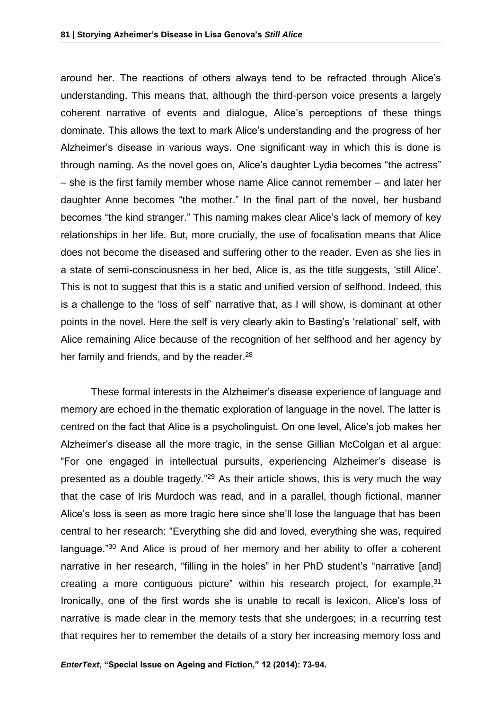around her. The reactions of others always tend to be refracted through Alice's understanding. This means that, although the third-person voice presents a largely coherent narrative of events and dialogue, Alice's perceptions of these things dominate. This allows the text to mark Alice's understanding and the progress of her Alzheimer's disease in various ways. One significant way in which this is done is through naming. As the novel goes on, Alice's daughter Lydia becomes "the actress" – she is the first family member whose name Alice cannot remember – and later her daughter Anne becomes "the mother." In the final part of the novel, her husband becomes "the kind stranger." This naming makes clear Alice's lack of memory of key relationships in her life. But, more crucially, the use of focalisation means that Alice does not become the diseased and suffering other to the reader. Even as she lies in a state of semi-consciousness in her bed, Alice is, as the title suggests, 'still Alice'. This is not to suggest that this is a static and unified version of selfhood. Indeed, this is a challenge to the 'loss of self' narrative that, as I will show, is dominant at other points in the novel. Here the self is very clearly akin to Basting's 'relational' self, with Alice remaining Alice because of the recognition of her selfhood and her agency by her family and friends, and by the reader.<sup>28</sup>

These formal interests in the Alzheimer's disease experience of language and memory are echoed in the thematic exploration of language in the novel. The latter is centred on the fact that Alice is a psycholinguist. On one level, Alice's job makes her Alzheimer's disease all the more tragic, in the sense Gillian McColgan et al argue: "For one engaged in intellectual pursuits, experiencing Alzheimer's disease is presented as a double tragedy."<sup>29</sup> As their article shows, this is very much the way that the case of Iris Murdoch was read, and in a parallel, though fictional, manner Alice's loss is seen as more tragic here since she'll lose the language that has been central to her research: "Everything she did and loved, everything she was, required language."<sup>30</sup> And Alice is proud of her memory and her ability to offer a coherent narrative in her research, "filling in the holes" in her PhD student's "narrative [and] creating a more contiguous picture" within his research project, for example.<sup>31</sup> Ironically, one of the first words she is unable to recall is lexicon. Alice's loss of narrative is made clear in the memory tests that she undergoes; in a recurring test that requires her to remember the details of a story her increasing memory loss and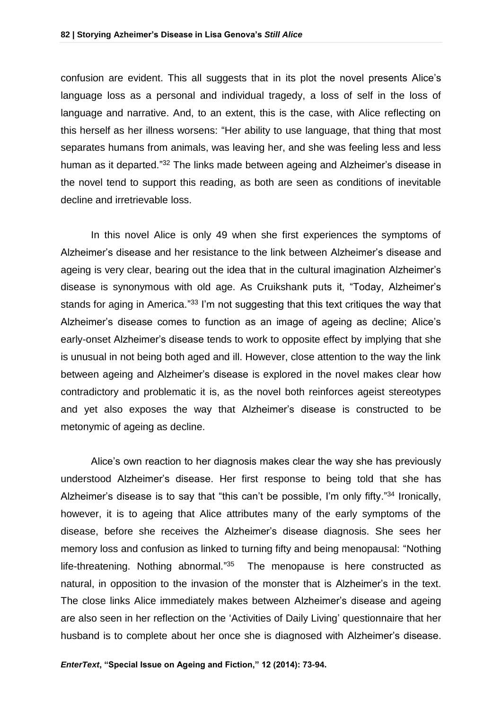confusion are evident. This all suggests that in its plot the novel presents Alice's language loss as a personal and individual tragedy, a loss of self in the loss of language and narrative. And, to an extent, this is the case, with Alice reflecting on this herself as her illness worsens: "Her ability to use language, that thing that most separates humans from animals, was leaving her, and she was feeling less and less human as it departed."<sup>32</sup> The links made between ageing and Alzheimer's disease in the novel tend to support this reading, as both are seen as conditions of inevitable decline and irretrievable loss.

In this novel Alice is only 49 when she first experiences the symptoms of Alzheimer's disease and her resistance to the link between Alzheimer's disease and ageing is very clear, bearing out the idea that in the cultural imagination Alzheimer's disease is synonymous with old age. As Cruikshank puts it, "Today, Alzheimer's stands for aging in America."<sup>33</sup> I'm not suggesting that this text critiques the way that Alzheimer's disease comes to function as an image of ageing as decline; Alice's early-onset Alzheimer's disease tends to work to opposite effect by implying that she is unusual in not being both aged and ill. However, close attention to the way the link between ageing and Alzheimer's disease is explored in the novel makes clear how contradictory and problematic it is, as the novel both reinforces ageist stereotypes and yet also exposes the way that Alzheimer's disease is constructed to be metonymic of ageing as decline.

Alice's own reaction to her diagnosis makes clear the way she has previously understood Alzheimer's disease. Her first response to being told that she has Alzheimer's disease is to say that "this can't be possible, I'm only fifty."<sup>34</sup> Ironically, however, it is to ageing that Alice attributes many of the early symptoms of the disease, before she receives the Alzheimer's disease diagnosis. She sees her memory loss and confusion as linked to turning fifty and being menopausal: "Nothing life-threatening. Nothing abnormal."<sup>35</sup> The menopause is here constructed as natural, in opposition to the invasion of the monster that is Alzheimer's in the text. The close links Alice immediately makes between Alzheimer's disease and ageing are also seen in her reflection on the 'Activities of Daily Living' questionnaire that her husband is to complete about her once she is diagnosed with Alzheimer's disease.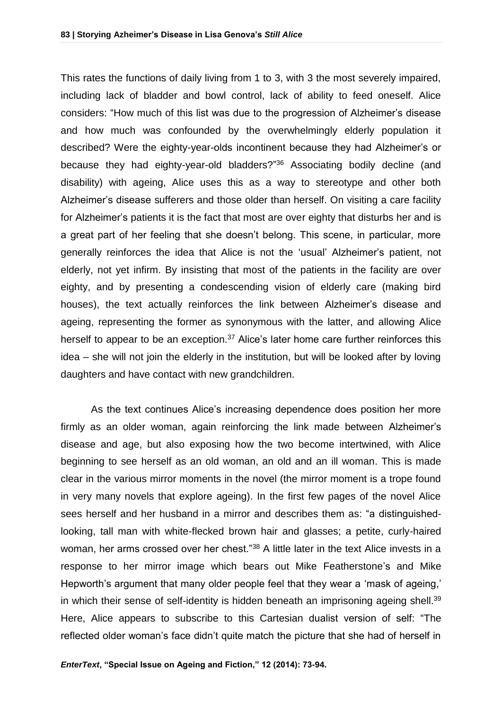This rates the functions of daily living from 1 to 3, with 3 the most severely impaired, including lack of bladder and bowl control, lack of ability to feed oneself. Alice considers: "How much of this list was due to the progression of Alzheimer's disease and how much was confounded by the overwhelmingly elderly population it described? Were the eighty-year-olds incontinent because they had Alzheimer's or because they had eighty-year-old bladders?" <sup>36</sup> Associating bodily decline (and disability) with ageing, Alice uses this as a way to stereotype and other both Alzheimer's disease sufferers and those older than herself. On visiting a care facility for Alzheimer's patients it is the fact that most are over eighty that disturbs her and is a great part of her feeling that she doesn't belong. This scene, in particular, more generally reinforces the idea that Alice is not the 'usual' Alzheimer's patient, not elderly, not yet infirm. By insisting that most of the patients in the facility are over eighty, and by presenting a condescending vision of elderly care (making bird houses), the text actually reinforces the link between Alzheimer's disease and ageing, representing the former as synonymous with the latter, and allowing Alice herself to appear to be an exception. $37$  Alice's later home care further reinforces this idea – she will not join the elderly in the institution, but will be looked after by loving daughters and have contact with new grandchildren.

As the text continues Alice's increasing dependence does position her more firmly as an older woman, again reinforcing the link made between Alzheimer's disease and age, but also exposing how the two become intertwined, with Alice beginning to see herself as an old woman, an old and an ill woman. This is made clear in the various mirror moments in the novel (the mirror moment is a trope found in very many novels that explore ageing). In the first few pages of the novel Alice sees herself and her husband in a mirror and describes them as: "a distinguishedlooking, tall man with white-flecked brown hair and glasses; a petite, curly-haired woman, her arms crossed over her chest."<sup>38</sup> A little later in the text Alice invests in a response to her mirror image which bears out Mike Featherstone's and Mike Hepworth's argument that many older people feel that they wear a 'mask of ageing,' in which their sense of self-identity is hidden beneath an imprisoning ageing shell. $39$ Here, Alice appears to subscribe to this Cartesian dualist version of self: "The reflected older woman's face didn't quite match the picture that she had of herself in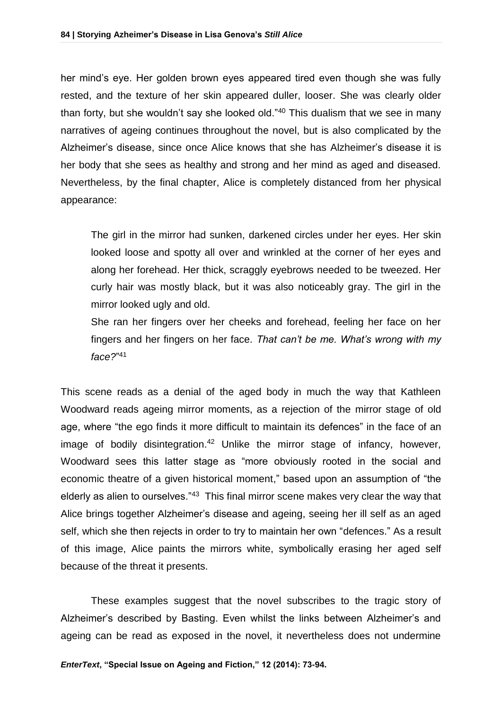her mind's eye. Her golden brown eyes appeared tired even though she was fully rested, and the texture of her skin appeared duller, looser. She was clearly older than forty, but she wouldn't say she looked old."<sup>40</sup> This dualism that we see in many narratives of ageing continues throughout the novel, but is also complicated by the Alzheimer's disease, since once Alice knows that she has Alzheimer's disease it is her body that she sees as healthy and strong and her mind as aged and diseased. Nevertheless, by the final chapter, Alice is completely distanced from her physical appearance:

The girl in the mirror had sunken, darkened circles under her eyes. Her skin looked loose and spotty all over and wrinkled at the corner of her eyes and along her forehead. Her thick, scraggly eyebrows needed to be tweezed. Her curly hair was mostly black, but it was also noticeably gray. The girl in the mirror looked ugly and old.

She ran her fingers over her cheeks and forehead, feeling her face on her fingers and her fingers on her face. *That can't be me. What's wrong with my face?*" 41

This scene reads as a denial of the aged body in much the way that Kathleen Woodward reads ageing mirror moments, as a rejection of the mirror stage of old age, where "the ego finds it more difficult to maintain its defences" in the face of an image of bodily disintegration.<sup>42</sup> Unlike the mirror stage of infancy, however, Woodward sees this latter stage as "more obviously rooted in the social and economic theatre of a given historical moment," based upon an assumption of "the elderly as alien to ourselves."<sup>43</sup> This final mirror scene makes very clear the way that Alice brings together Alzheimer's disease and ageing, seeing her ill self as an aged self, which she then rejects in order to try to maintain her own "defences." As a result of this image, Alice paints the mirrors white, symbolically erasing her aged self because of the threat it presents.

These examples suggest that the novel subscribes to the tragic story of Alzheimer's described by Basting. Even whilst the links between Alzheimer's and ageing can be read as exposed in the novel, it nevertheless does not undermine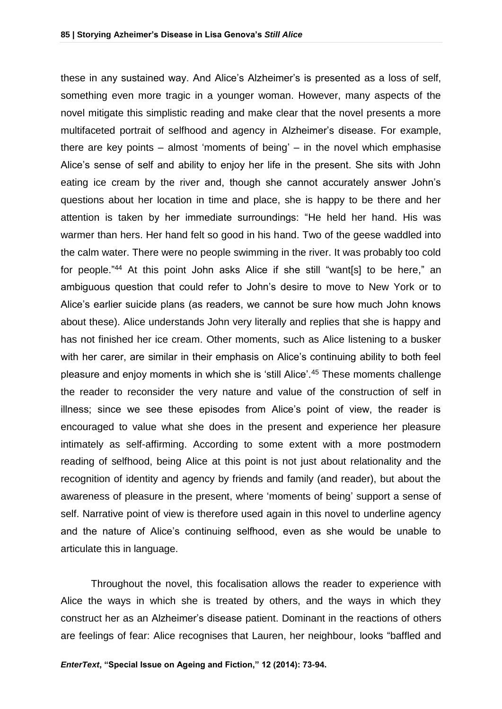these in any sustained way. And Alice's Alzheimer's is presented as a loss of self, something even more tragic in a younger woman. However, many aspects of the novel mitigate this simplistic reading and make clear that the novel presents a more multifaceted portrait of selfhood and agency in Alzheimer's disease. For example, there are key points – almost 'moments of being' – in the novel which emphasise Alice's sense of self and ability to enjoy her life in the present. She sits with John eating ice cream by the river and, though she cannot accurately answer John's questions about her location in time and place, she is happy to be there and her attention is taken by her immediate surroundings: "He held her hand. His was warmer than hers. Her hand felt so good in his hand. Two of the geese waddled into the calm water. There were no people swimming in the river. It was probably too cold for people." <sup>44</sup> At this point John asks Alice if she still "want[s] to be here," an ambiguous question that could refer to John's desire to move to New York or to Alice's earlier suicide plans (as readers, we cannot be sure how much John knows about these). Alice understands John very literally and replies that she is happy and has not finished her ice cream. Other moments, such as Alice listening to a busker with her carer, are similar in their emphasis on Alice's continuing ability to both feel pleasure and enjoy moments in which she is 'still Alice'.<sup>45</sup> These moments challenge the reader to reconsider the very nature and value of the construction of self in illness; since we see these episodes from Alice's point of view, the reader is encouraged to value what she does in the present and experience her pleasure intimately as self-affirming. According to some extent with a more postmodern reading of selfhood, being Alice at this point is not just about relationality and the recognition of identity and agency by friends and family (and reader), but about the awareness of pleasure in the present, where 'moments of being' support a sense of self. Narrative point of view is therefore used again in this novel to underline agency and the nature of Alice's continuing selfhood, even as she would be unable to articulate this in language.

Throughout the novel, this focalisation allows the reader to experience with Alice the ways in which she is treated by others, and the ways in which they construct her as an Alzheimer's disease patient. Dominant in the reactions of others are feelings of fear: Alice recognises that Lauren, her neighbour, looks "baffled and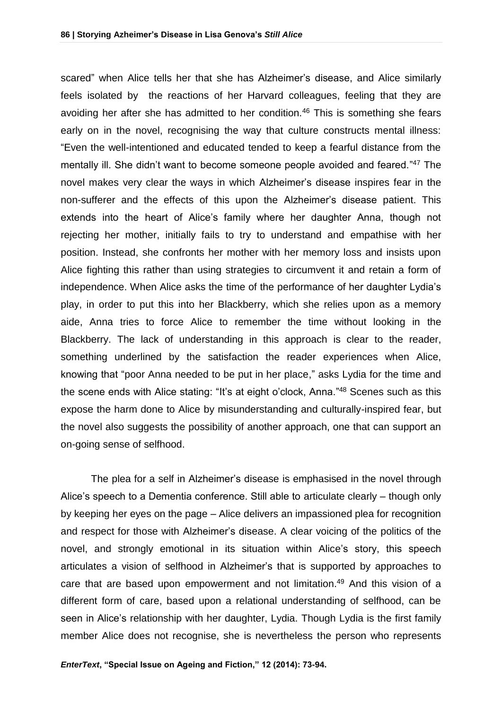scared" when Alice tells her that she has Alzheimer's disease, and Alice similarly feels isolated by the reactions of her Harvard colleagues, feeling that they are avoiding her after she has admitted to her condition.<sup>46</sup> This is something she fears early on in the novel, recognising the way that culture constructs mental illness: "Even the well-intentioned and educated tended to keep a fearful distance from the mentally ill. She didn't want to become someone people avoided and feared."<sup>47</sup> The novel makes very clear the ways in which Alzheimer's disease inspires fear in the non-sufferer and the effects of this upon the Alzheimer's disease patient. This extends into the heart of Alice's family where her daughter Anna, though not rejecting her mother, initially fails to try to understand and empathise with her position. Instead, she confronts her mother with her memory loss and insists upon Alice fighting this rather than using strategies to circumvent it and retain a form of independence. When Alice asks the time of the performance of her daughter Lydia's play, in order to put this into her Blackberry, which she relies upon as a memory aide, Anna tries to force Alice to remember the time without looking in the Blackberry. The lack of understanding in this approach is clear to the reader, something underlined by the satisfaction the reader experiences when Alice, knowing that "poor Anna needed to be put in her place," asks Lydia for the time and the scene ends with Alice stating: "It's at eight o'clock, Anna."<sup>48</sup> Scenes such as this expose the harm done to Alice by misunderstanding and culturally-inspired fear, but the novel also suggests the possibility of another approach, one that can support an on-going sense of selfhood.

The plea for a self in Alzheimer's disease is emphasised in the novel through Alice's speech to a Dementia conference. Still able to articulate clearly – though only by keeping her eyes on the page – Alice delivers an impassioned plea for recognition and respect for those with Alzheimer's disease. A clear voicing of the politics of the novel, and strongly emotional in its situation within Alice's story, this speech articulates a vision of selfhood in Alzheimer's that is supported by approaches to care that are based upon empowerment and not limitation. <sup>49</sup> And this vision of a different form of care, based upon a relational understanding of selfhood, can be seen in Alice's relationship with her daughter, Lydia. Though Lydia is the first family member Alice does not recognise, she is nevertheless the person who represents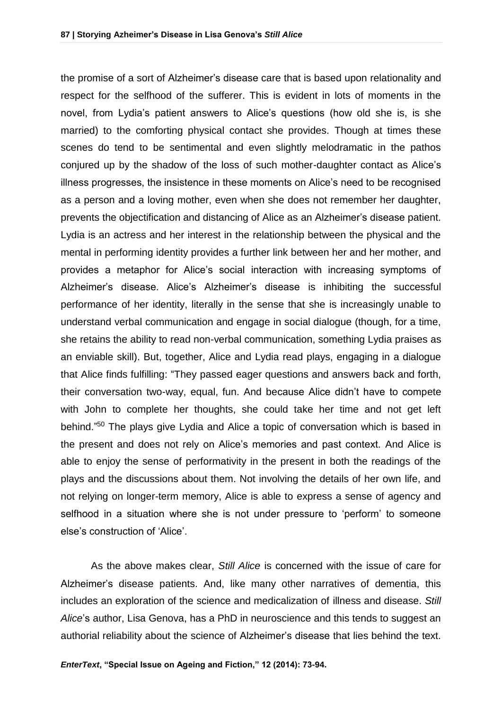the promise of a sort of Alzheimer's disease care that is based upon relationality and respect for the selfhood of the sufferer. This is evident in lots of moments in the novel, from Lydia's patient answers to Alice's questions (how old she is, is she married) to the comforting physical contact she provides. Though at times these scenes do tend to be sentimental and even slightly melodramatic in the pathos conjured up by the shadow of the loss of such mother-daughter contact as Alice's illness progresses, the insistence in these moments on Alice's need to be recognised as a person and a loving mother, even when she does not remember her daughter, prevents the objectification and distancing of Alice as an Alzheimer's disease patient. Lydia is an actress and her interest in the relationship between the physical and the mental in performing identity provides a further link between her and her mother, and provides a metaphor for Alice's social interaction with increasing symptoms of Alzheimer's disease. Alice's Alzheimer's disease is inhibiting the successful performance of her identity, literally in the sense that she is increasingly unable to understand verbal communication and engage in social dialogue (though, for a time, she retains the ability to read non-verbal communication, something Lydia praises as an enviable skill). But, together, Alice and Lydia read plays, engaging in a dialogue that Alice finds fulfilling: "They passed eager questions and answers back and forth, their conversation two-way, equal, fun. And because Alice didn't have to compete with John to complete her thoughts, she could take her time and not get left behind."<sup>50</sup> The plays give Lydia and Alice a topic of conversation which is based in the present and does not rely on Alice's memories and past context. And Alice is able to enjoy the sense of performativity in the present in both the readings of the plays and the discussions about them. Not involving the details of her own life, and not relying on longer-term memory, Alice is able to express a sense of agency and selfhood in a situation where she is not under pressure to 'perform' to someone else's construction of 'Alice'.

As the above makes clear, *Still Alice* is concerned with the issue of care for Alzheimer's disease patients. And, like many other narratives of dementia, this includes an exploration of the science and medicalization of illness and disease. *Still Alice*'s author, Lisa Genova, has a PhD in neuroscience and this tends to suggest an authorial reliability about the science of Alzheimer's disease that lies behind the text.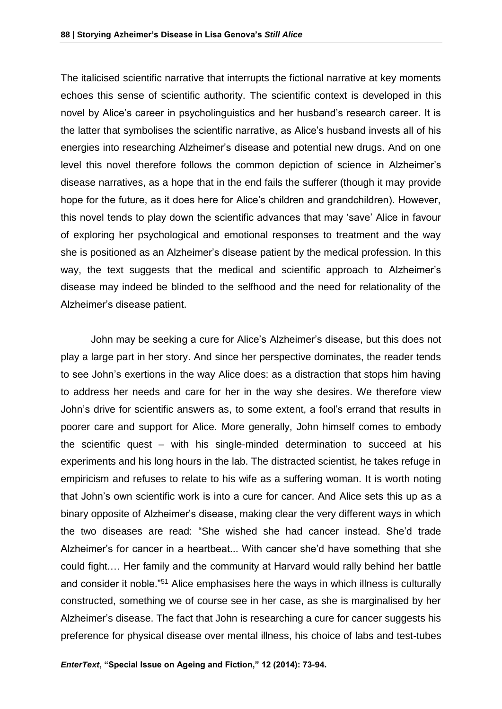The italicised scientific narrative that interrupts the fictional narrative at key moments echoes this sense of scientific authority. The scientific context is developed in this novel by Alice's career in psycholinguistics and her husband's research career. It is the latter that symbolises the scientific narrative, as Alice's husband invests all of his energies into researching Alzheimer's disease and potential new drugs. And on one level this novel therefore follows the common depiction of science in Alzheimer's disease narratives, as a hope that in the end fails the sufferer (though it may provide hope for the future, as it does here for Alice's children and grandchildren). However, this novel tends to play down the scientific advances that may 'save' Alice in favour of exploring her psychological and emotional responses to treatment and the way she is positioned as an Alzheimer's disease patient by the medical profession. In this way, the text suggests that the medical and scientific approach to Alzheimer's disease may indeed be blinded to the selfhood and the need for relationality of the Alzheimer's disease patient.

John may be seeking a cure for Alice's Alzheimer's disease, but this does not play a large part in her story. And since her perspective dominates, the reader tends to see John's exertions in the way Alice does: as a distraction that stops him having to address her needs and care for her in the way she desires. We therefore view John's drive for scientific answers as, to some extent, a fool's errand that results in poorer care and support for Alice. More generally, John himself comes to embody the scientific quest – with his single-minded determination to succeed at his experiments and his long hours in the lab. The distracted scientist, he takes refuge in empiricism and refuses to relate to his wife as a suffering woman. It is worth noting that John's own scientific work is into a cure for cancer. And Alice sets this up as a binary opposite of Alzheimer's disease, making clear the very different ways in which the two diseases are read: "She wished she had cancer instead. She'd trade Alzheimer's for cancer in a heartbeat... With cancer she'd have something that she could fight.… Her family and the community at Harvard would rally behind her battle and consider it noble."<sup>51</sup> Alice emphasises here the ways in which illness is culturally constructed, something we of course see in her case, as she is marginalised by her Alzheimer's disease. The fact that John is researching a cure for cancer suggests his preference for physical disease over mental illness, his choice of labs and test-tubes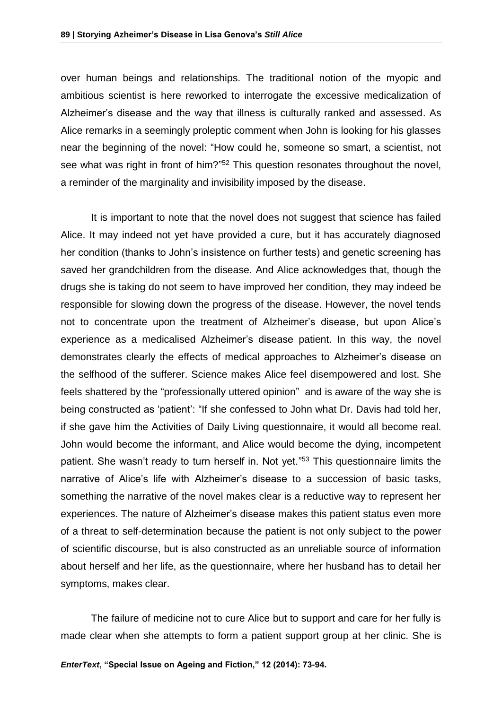over human beings and relationships. The traditional notion of the myopic and ambitious scientist is here reworked to interrogate the excessive medicalization of Alzheimer's disease and the way that illness is culturally ranked and assessed. As Alice remarks in a seemingly proleptic comment when John is looking for his glasses near the beginning of the novel: "How could he, someone so smart, a scientist, not see what was right in front of him?"<sup>52</sup> This question resonates throughout the novel, a reminder of the marginality and invisibility imposed by the disease.

It is important to note that the novel does not suggest that science has failed Alice. It may indeed not yet have provided a cure, but it has accurately diagnosed her condition (thanks to John's insistence on further tests) and genetic screening has saved her grandchildren from the disease. And Alice acknowledges that, though the drugs she is taking do not seem to have improved her condition, they may indeed be responsible for slowing down the progress of the disease. However, the novel tends not to concentrate upon the treatment of Alzheimer's disease, but upon Alice's experience as a medicalised Alzheimer's disease patient. In this way, the novel demonstrates clearly the effects of medical approaches to Alzheimer's disease on the selfhood of the sufferer. Science makes Alice feel disempowered and lost. She feels shattered by the "professionally uttered opinion" and is aware of the way she is being constructed as 'patient': "If she confessed to John what Dr. Davis had told her, if she gave him the Activities of Daily Living questionnaire, it would all become real. John would become the informant, and Alice would become the dying, incompetent patient. She wasn't ready to turn herself in. Not yet." <sup>53</sup> This questionnaire limits the narrative of Alice's life with Alzheimer's disease to a succession of basic tasks, something the narrative of the novel makes clear is a reductive way to represent her experiences. The nature of Alzheimer's disease makes this patient status even more of a threat to self-determination because the patient is not only subject to the power of scientific discourse, but is also constructed as an unreliable source of information about herself and her life, as the questionnaire, where her husband has to detail her symptoms, makes clear.

The failure of medicine not to cure Alice but to support and care for her fully is made clear when she attempts to form a patient support group at her clinic. She is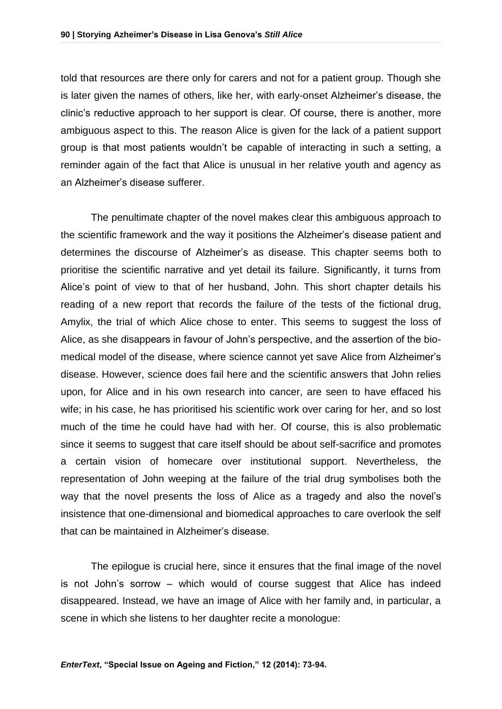told that resources are there only for carers and not for a patient group. Though she is later given the names of others, like her, with early-onset Alzheimer's disease, the clinic's reductive approach to her support is clear. Of course, there is another, more ambiguous aspect to this. The reason Alice is given for the lack of a patient support group is that most patients wouldn't be capable of interacting in such a setting, a reminder again of the fact that Alice is unusual in her relative youth and agency as an Alzheimer's disease sufferer.

The penultimate chapter of the novel makes clear this ambiguous approach to the scientific framework and the way it positions the Alzheimer's disease patient and determines the discourse of Alzheimer's as disease. This chapter seems both to prioritise the scientific narrative and yet detail its failure. Significantly, it turns from Alice's point of view to that of her husband, John. This short chapter details his reading of a new report that records the failure of the tests of the fictional drug, Amylix, the trial of which Alice chose to enter. This seems to suggest the loss of Alice, as she disappears in favour of John's perspective, and the assertion of the biomedical model of the disease, where science cannot yet save Alice from Alzheimer's disease. However, science does fail here and the scientific answers that John relies upon, for Alice and in his own research into cancer, are seen to have effaced his wife; in his case, he has prioritised his scientific work over caring for her, and so lost much of the time he could have had with her. Of course, this is also problematic since it seems to suggest that care itself should be about self-sacrifice and promotes a certain vision of homecare over institutional support. Nevertheless, the representation of John weeping at the failure of the trial drug symbolises both the way that the novel presents the loss of Alice as a tragedy and also the novel's insistence that one-dimensional and biomedical approaches to care overlook the self that can be maintained in Alzheimer's disease.

The epilogue is crucial here, since it ensures that the final image of the novel is not John's sorrow – which would of course suggest that Alice has indeed disappeared. Instead, we have an image of Alice with her family and, in particular, a scene in which she listens to her daughter recite a monologue: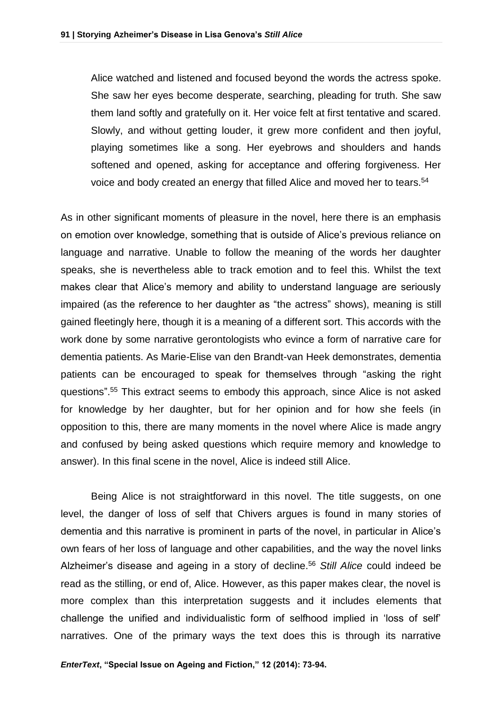Alice watched and listened and focused beyond the words the actress spoke. She saw her eyes become desperate, searching, pleading for truth. She saw them land softly and gratefully on it. Her voice felt at first tentative and scared. Slowly, and without getting louder, it grew more confident and then joyful, playing sometimes like a song. Her eyebrows and shoulders and hands softened and opened, asking for acceptance and offering forgiveness. Her voice and body created an energy that filled Alice and moved her to tears.<sup>54</sup>

As in other significant moments of pleasure in the novel, here there is an emphasis on emotion over knowledge, something that is outside of Alice's previous reliance on language and narrative. Unable to follow the meaning of the words her daughter speaks, she is nevertheless able to track emotion and to feel this. Whilst the text makes clear that Alice's memory and ability to understand language are seriously impaired (as the reference to her daughter as "the actress" shows), meaning is still gained fleetingly here, though it is a meaning of a different sort. This accords with the work done by some narrative gerontologists who evince a form of narrative care for dementia patients. As Marie-Elise van den Brandt-van Heek demonstrates, dementia patients can be encouraged to speak for themselves through "asking the right questions". <sup>55</sup> This extract seems to embody this approach, since Alice is not asked for knowledge by her daughter, but for her opinion and for how she feels (in opposition to this, there are many moments in the novel where Alice is made angry and confused by being asked questions which require memory and knowledge to answer). In this final scene in the novel, Alice is indeed still Alice.

Being Alice is not straightforward in this novel. The title suggests, on one level, the danger of loss of self that Chivers argues is found in many stories of dementia and this narrative is prominent in parts of the novel, in particular in Alice's own fears of her loss of language and other capabilities, and the way the novel links Alzheimer's disease and ageing in a story of decline.<sup>56</sup> *Still Alice* could indeed be read as the stilling, or end of, Alice. However, as this paper makes clear, the novel is more complex than this interpretation suggests and it includes elements that challenge the unified and individualistic form of selfhood implied in 'loss of self' narratives. One of the primary ways the text does this is through its narrative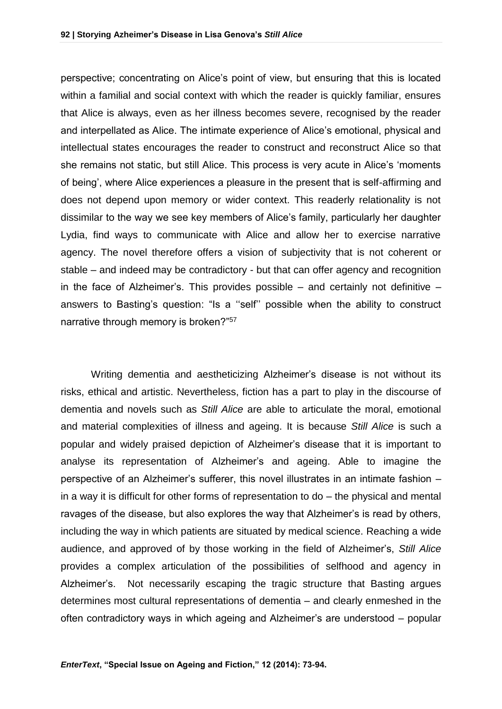perspective; concentrating on Alice's point of view, but ensuring that this is located within a familial and social context with which the reader is quickly familiar, ensures that Alice is always, even as her illness becomes severe, recognised by the reader and interpellated as Alice. The intimate experience of Alice's emotional, physical and intellectual states encourages the reader to construct and reconstruct Alice so that she remains not static, but still Alice. This process is very acute in Alice's 'moments of being', where Alice experiences a pleasure in the present that is self-affirming and does not depend upon memory or wider context. This readerly relationality is not dissimilar to the way we see key members of Alice's family, particularly her daughter Lydia, find ways to communicate with Alice and allow her to exercise narrative agency. The novel therefore offers a vision of subjectivity that is not coherent or stable – and indeed may be contradictory - but that can offer agency and recognition in the face of Alzheimer's. This provides possible  $-$  and certainly not definitive  $$ answers to Basting's question: "Is a ''self'' possible when the ability to construct narrative through memory is broken?"<sup>57</sup>

Writing dementia and aestheticizing Alzheimer's disease is not without its risks, ethical and artistic. Nevertheless, fiction has a part to play in the discourse of dementia and novels such as *Still Alice* are able to articulate the moral, emotional and material complexities of illness and ageing. It is because *Still Alice* is such a popular and widely praised depiction of Alzheimer's disease that it is important to analyse its representation of Alzheimer's and ageing. Able to imagine the perspective of an Alzheimer's sufferer, this novel illustrates in an intimate fashion – in a way it is difficult for other forms of representation to do – the physical and mental ravages of the disease, but also explores the way that Alzheimer's is read by others, including the way in which patients are situated by medical science. Reaching a wide audience, and approved of by those working in the field of Alzheimer's, *Still Alice* provides a complex articulation of the possibilities of selfhood and agency in Alzheimer's. Not necessarily escaping the tragic structure that Basting argues determines most cultural representations of dementia – and clearly enmeshed in the often contradictory ways in which ageing and Alzheimer's are understood – popular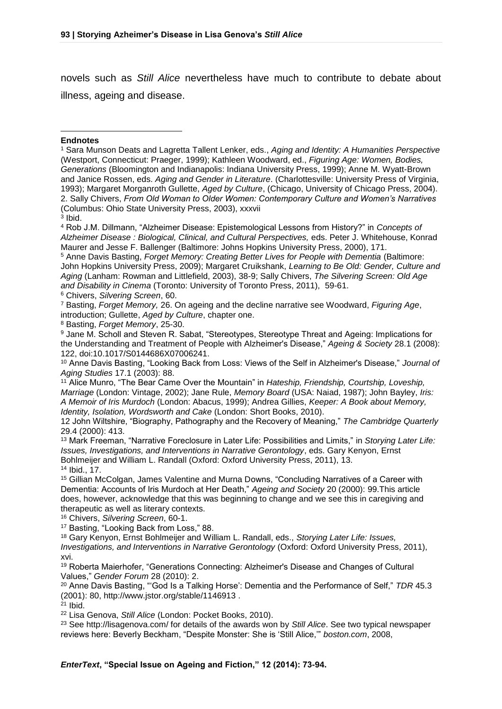novels such as *Still Alice* nevertheless have much to contribute to debate about illness, ageing and disease.

## 1 **Endnotes**

3 Ibid.

<sup>4</sup> Rob J.M. Dillmann, "Alzheimer Disease: Epistemological Lessons from History?" in *Concepts of Alzheimer Disease : Biological, Clinical, and Cultural Perspectives,* eds. Peter J. Whitehouse, Konrad Maurer and Jesse F. Ballenger (Baltimore: Johns Hopkins University Press, 2000), 171.

<sup>5</sup> Anne Davis Basting, *Forget Memory: Creating Better Lives for People with Dementia (Baltimore:* John Hopkins University Press, 2009); Margaret Cruikshank, *Learning to Be Old: Gender, Culture and Aging* (Lanham: Rowman and Littlefield, 2003), 38-9; Sally Chivers, *The Silvering Screen: Old Age and Disability in Cinema* (Toronto: University of Toronto Press, 2011), 59-61.

<sup>6</sup> Chivers, *Silvering Screen*, 60.

<sup>7</sup> Basting, *Forget Memory,* 26. On ageing and the decline narrative see Woodward, *Figuring Age*, introduction; Gullette, *Aged by Culture*, chapter one.

<sup>8</sup> Basting, *Forget Memory*, 25-30.

<sup>9</sup> Jane M. Scholl and Steven R. Sabat, "Stereotypes, Stereotype Threat and Ageing: Implications for the Understanding and Treatment of People with Alzheimer's Disease," *Ageing & Society* 28.1 (2008): 122, doi:10.1017/S0144686X07006241.

<sup>10</sup> Anne Davis Basting, "Looking Back from Loss: Views of the Self in Alzheimer's Disease," *Journal of Aging Studies* 17.1 (2003): 88.

<sup>11</sup> Alice Munro, "The Bear Came Over the Mountain" in *Hateship, Friendship, Courtship, Loveship, Marriage* (London: Vintage, 2002); Jane Rule, *Memory Board* (USA: Naiad, 1987); John Bayley, *Iris: A Memoir of Iris Murdoch* (London: Abacus, 1999); Andrea Gillies, *Keeper: A Book about Memory, Identity, Isolation, Wordsworth and Cake* (London: Short Books, 2010).

12 John Wiltshire, "Biography, Pathography and the Recovery of Meaning," *The Cambridge Quarterly* 29.4 (2000): 413.

<sup>13</sup> Mark Freeman, "Narrative Foreclosure in Later Life: Possibilities and Limits," in *Storying Later Life: Issues, Investigations, and Interventions in Narrative Gerontology*, eds. Gary Kenyon, Ernst Bohlmeijer and William L. Randall (Oxford: Oxford University Press, 2011), 13. <sup>14</sup> Ibid., 17.

<sup>15</sup> Gillian McColgan, James Valentine and Murna Downs, "Concluding Narratives of a Career with Dementia: Accounts of Iris Murdoch at Her Death," *Ageing and Society* 20 (2000): 99.This article does, however, acknowledge that this was beginning to change and we see this in caregiving and therapeutic as well as literary contexts.

<sup>16</sup> Chivers, *Silvering Screen*, 60-1.

17 Basting, "Looking Back from Loss," 88.

<sup>18</sup> Gary Kenyon, Ernst Bohlmeijer and William L. Randall, eds., *Storying Later Life: Issues, Investigations, and Interventions in Narrative Gerontology* (Oxford: Oxford University Press, 2011), xvi.

<sup>19</sup> Roberta Maierhofer, "Generations Connecting: Alzheimer's Disease and Changes of Cultural Values," *Gender Forum* 28 (2010): 2.

<sup>20</sup> Anne Davis Basting, "'God Is a Talking Horse': Dementia and the Performance of Self," *TDR* 45.3 (2001): 80, http://www.jstor.org/stable/1146913 .

 $21$  Ibid.

<sup>22</sup> Lisa Genova, *Still Alice* (London: Pocket Books, 2010).

<sup>23</sup> See http://lisagenova.com/ for details of the awards won by *Still Alice*. See two typical newspaper reviews here: Beverly Beckham, "Despite Monster: She is 'Still Alice,'" *boston.com*, 2008,

<sup>1</sup> Sara Munson Deats and Lagretta Tallent Lenker, eds., *Aging and Identity: A Humanities Perspective* (Westport, Connecticut: Praeger, 1999); Kathleen Woodward, ed., *Figuring Age: Women, Bodies, Generations* (Bloomington and Indianapolis: Indiana University Press, 1999); Anne M. Wyatt-Brown and Janice Rossen, eds. *Aging and Gender in Literature*. (Charlottesville: University Press of Virginia, 1993); Margaret Morganroth Gullette, *Aged by Culture*, (Chicago, University of Chicago Press, 2004). 2. Sally Chivers, *From Old Woman to Older Women: Contemporary Culture and Women's Narratives* (Columbus: Ohio State University Press, 2003), xxxvii